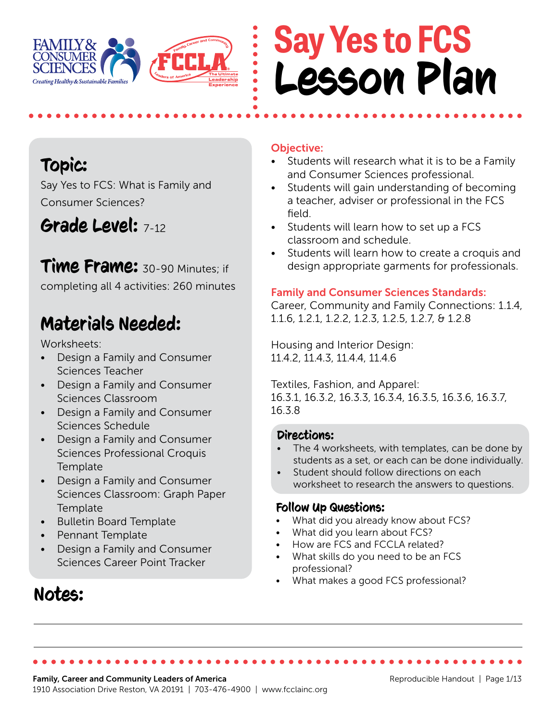

## **Say Yes to FCS** Lesson Plan

### Topic:

Say Yes to FCS: What is Family and Consumer Sciences?

### Grade Level: 7-12

### Time Frame: 30-90 Minutes; if

completing all 4 activities: 260 minutes

### Materials Needed:

Worksheets:

- Design a Family and Consumer Sciences Teacher
- Design a Family and Consumer Sciences Classroom
- Design a Family and Consumer Sciences Schedule
- Design a Family and Consumer Sciences Professional Croquis **Template**
- Design a Family and Consumer Sciences Classroom: Graph Paper **Template**
- Bulletin Board Template
- Pennant Template
- Design a Family and Consumer Sciences Career Point Tracker

### Notes:

#### Objective:

- Students will research what it is to be a Family and Consumer Sciences professional.
- Students will gain understanding of becoming a teacher, adviser or professional in the FCS field.
- Students will learn how to set up a FCS classroom and schedule.
- Students will learn how to create a croquis and design appropriate garments for professionals.

#### Family and Consumer Sciences Standards:

Career, Community and Family Connections: 1.1.4, 1.1.6, 1.2.1, 1.2.2, 1.2.3, 1.2.5, 1.2.7, & 1.2.8

Housing and Interior Design: 11.4.2, 11.4.3, 11.4.4, 11.4.6

Textiles, Fashion, and Apparel: 16.3.1, 16.3.2, 16.3.3, 16.3.4, 16.3.5, 16.3.6, 16.3.7, 16.3.8

#### Directions:

- The 4 worksheets, with templates, can be done by students as a set, or each can be done individually.
- Student should follow directions on each worksheet to research the answers to questions.

#### Follow Up Questions:

- What did you already know about FCS?
- What did you learn about FCS?
- How are FCS and FCCLA related?
- What skills do you need to be an FCS professional?
- What makes a good FCS professional?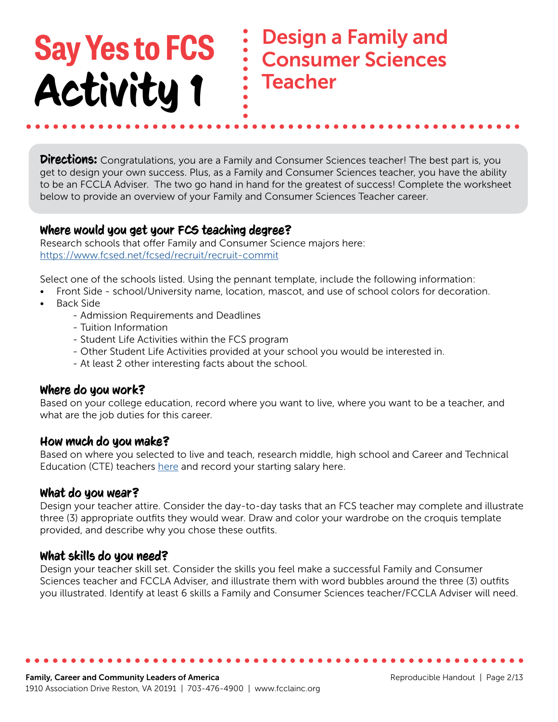Design a Family and Consumer Sciences **Teacher** 

**Directions:** Congratulations, you are a Family and Consumer Sciences teacher! The best part is, you get to design your own success. Plus, as a Family and Consumer Sciences teacher, you have the ability to be an FCCLA Adviser. The two go hand in hand for the greatest of success! Complete the worksheet below to provide an overview of your Family and Consumer Sciences Teacher career.

#### Where would you get your FCS teaching degree?

Research schools that offer Family and Consumer Science majors here: <https://www.fcsed.net/fcsed/recruit/recruit-commit>

Select one of the schools listed. Using the pennant template, include the following information:

- Front Side school/University name, location, mascot, and use of school colors for decoration.
- Back Side
	- Admission Requirements and Deadlines
	- Tuition Information
	- Student Life Activities within the FCS program
	- Other Student Life Activities provided at your school you would be interested in.
	- At least 2 other interesting facts about the school.

#### Where do you work?

Based on your college education, record where you want to live, where you want to be a teacher, and what are the job duties for this career.

#### How much do you make?

Based on where you selected to live and teach, research middle, high school and Career and Technical Education (CTE) teachers [here](https://www.bls.gov/ooh/) and record your starting salary here.

#### What do you wear?

Design your teacher attire. Consider the day-to-day tasks that an FCS teacher may complete and illustrate three (3) appropriate outfits they would wear. Draw and color your wardrobe on the croquis template provided, and describe why you chose these outfits.

#### What skills do you need?

Design your teacher skill set. Consider the skills you feel make a successful Family and Consumer Sciences teacher and FCCLA Adviser, and illustrate them with word bubbles around the three (3) outfits you illustrated. Identify at least 6 skills a Family and Consumer Sciences teacher/FCCLA Adviser will need.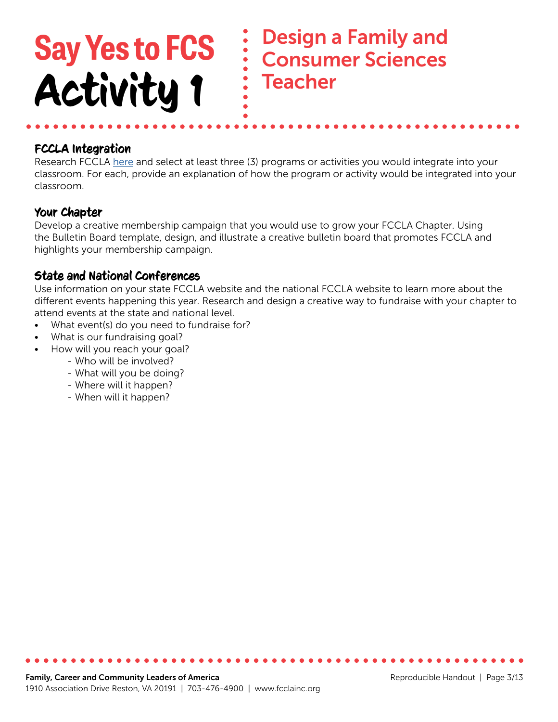### Design a Family and Consumer Sciences **Teacher Say Yes to FCS** Activity 1

#### FCCLA Integration

Research FCCLA [here](https://fcclainc.org/) and select at least three (3) programs or activities you would integrate into your classroom. For each, provide an explanation of how the program or activity would be integrated into your classroom.

#### Your Chapter

Develop a creative membership campaign that you would use to grow your FCCLA Chapter. Using the Bulletin Board template, design, and illustrate a creative bulletin board that promotes FCCLA and highlights your membership campaign.

#### State and National Conferences

Use information on your state FCCLA website and the national FCCLA website to learn more about the different events happening this year. Research and design a creative way to fundraise with your chapter to attend events at the state and national level.

- What event(s) do you need to fundraise for?
- What is our fundraising goal?
- How will you reach your goal?
	- Who will be involved?
	- What will you be doing?
	- Where will it happen?
	- When will it happen?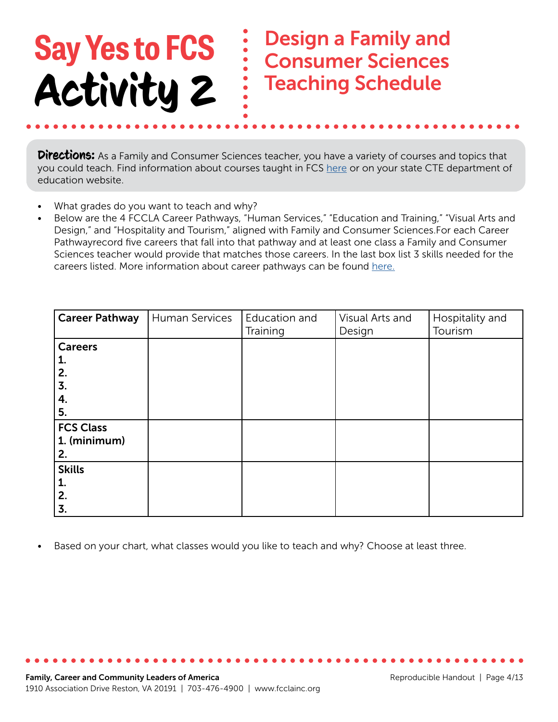### **Say Yes to FCS** Activity 2 Design a Family and Consumer Sciences Teaching Schedule

**Directions:** As a Family and Consumer Sciences teacher, you have a variety of courses and topics that you could teach. Find information about courses taught in FCS [here](http://leadfcsed.org/national-standards.html) or on your state CTE department of education website.

- What grades do you want to teach and why?
- Below are the 4 FCCLA Career Pathways, "Human Services," "Education and Training," "Visual Arts and Design," and "Hospitality and Tourism," aligned with Family and Consumer Sciences.For each Career Pathwayrecord five careers that fall into that pathway and at least one class a Family and Consumer Sciences teacher would provide that matches those careers. In the last box list 3 skills needed for the careers listed. More information about career pathways can be found [here.](https://fcclainc.org/engage/career-pathways)

| <b>Career Pathway</b> | Human Services | Education and | Visual Arts and | Hospitality and |
|-----------------------|----------------|---------------|-----------------|-----------------|
|                       |                | Training      | Design          | Tourism         |
| <b>Careers</b>        |                |               |                 |                 |
| 1.                    |                |               |                 |                 |
| 2.                    |                |               |                 |                 |
| 3.                    |                |               |                 |                 |
| 4.                    |                |               |                 |                 |
| 5.                    |                |               |                 |                 |
| <b>FCS Class</b>      |                |               |                 |                 |
| 1. (minimum)          |                |               |                 |                 |
| 2.                    |                |               |                 |                 |
| <b>Skills</b>         |                |               |                 |                 |
| 1.                    |                |               |                 |                 |
| 2.                    |                |               |                 |                 |
| 3.                    |                |               |                 |                 |

Based on your chart, what classes would you like to teach and why? Choose at least three.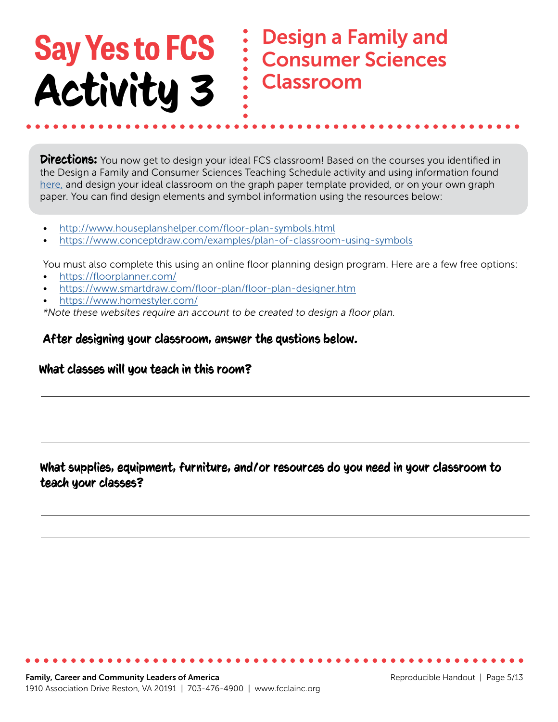### Design a Family and Consumer Sciences Classroom

**Directions:** You now get to design your ideal FCS classroom! Based on the courses you identified in the Design a Family and Consumer Sciences Teaching Schedule activity and using information found [here,](https://www.fcsed.net/recruit/recruit-career-info) and design your ideal classroom on the graph paper template provided, or on your own graph paper. You can find design elements and symbol information using the resources below:

- <http://www.houseplanshelper.com/floor-plan-symbols.html>
- <https://www.conceptdraw.com/examples/plan-of-classroom-using-symbols>

You must also complete this using an online floor planning design program. Here are a few free options:

- <https://floorplanner.com/>
- <https://www.smartdraw.com/floor-plan/floor-plan-designer.htm>
- [https://www.homestyler.com/](https://www.homestyler.com/ )

*\*Note these websites require an account to be created to design a floor plan.*

#### After designing your classroom, answer the qustions below.

#### What classes will you teach in this room?

#### What supplies, equipment, furniture, and/or resources do you need in your classroom to teach your classes?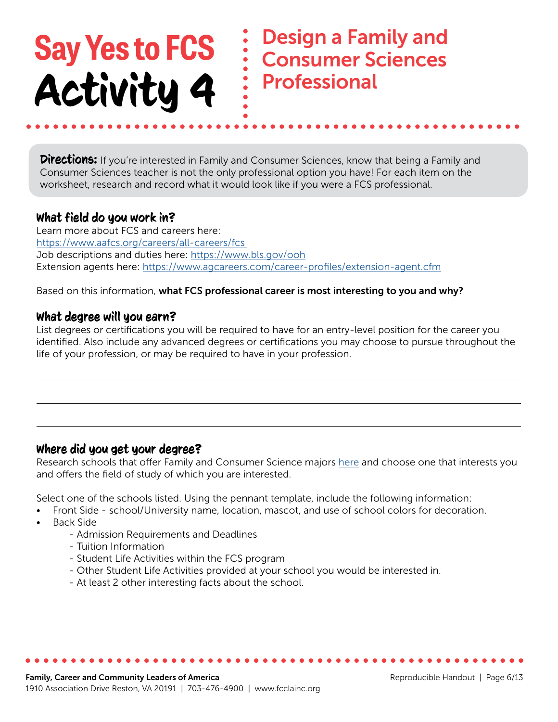Design a Family and Consumer Sciences Professional

**Directions:** If you're interested in Family and Consumer Sciences, know that being a Family and Consumer Sciences teacher is not the only professional option you have! For each item on the worksheet, research and record what it would look like if you were a FCS professional.

#### What field do you work in?

Learn more about FCS and careers here: <https://www.aafcs.org/careers/all-careers/fcs> Job descriptions and duties here:<https://www.bls.gov/ooh> Extension agents here: <https://www.agcareers.com/career-profiles/extension-agent.cfm>

Based on this information, what FCS professional career is most interesting to you and why?

#### What degree will you earn?

List degrees or certifications you will be required to have for an entry-level position for the career you identified. Also include any advanced degrees or certifications you may choose to pursue throughout the life of your profession, or may be required to have in your profession.

#### Where did you get your degree?

Research schools that offer Family and Consumer Science majors [here](https://www.fcsed.net/prepare/prepare-fcsed-programs) and choose one that interests you and offers the field of study of which you are interested.

Select one of the schools listed. Using the pennant template, include the following information:

- Front Side school/University name, location, mascot, and use of school colors for decoration.
- Back Side
	- Admission Requirements and Deadlines
	- Tuition Information
	- Student Life Activities within the FCS program
	- Other Student Life Activities provided at your school you would be interested in.
	- At least 2 other interesting facts about the school.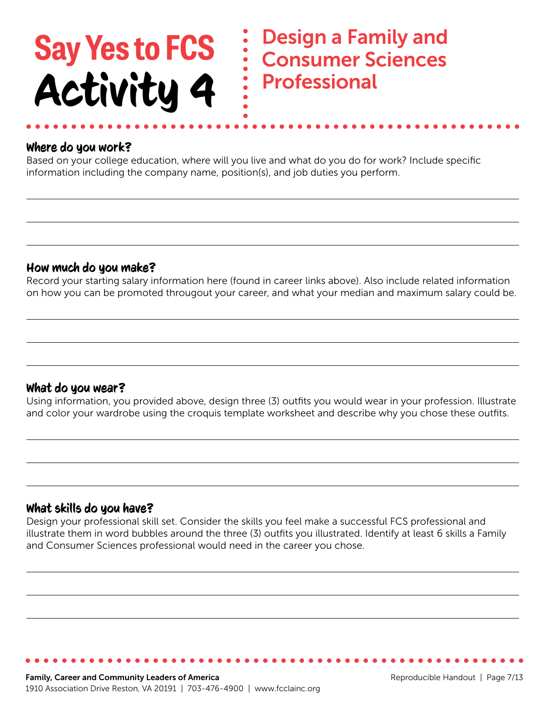Design a Family and Consumer Sciences Professional

#### Where do you work?

Based on your college education, where will you live and what do you do for work? Include specific information including the company name, position(s), and job duties you perform.

#### How much do you make?

Record your starting salary information here (found in career links above). Also include related information on how you can be promoted througout your career, and what your median and maximum salary could be.

#### What do you wear?

Using information, you provided above, design three (3) outfits you would wear in your profession. Illustrate and color your wardrobe using the croquis template worksheet and describe why you chose these outfits.

#### What skills do you have?

Design your professional skill set. Consider the skills you feel make a successful FCS professional and illustrate them in word bubbles around the three (3) outfits you illustrated. Identify at least 6 skills a Family and Consumer Sciences professional would need in the career you chose.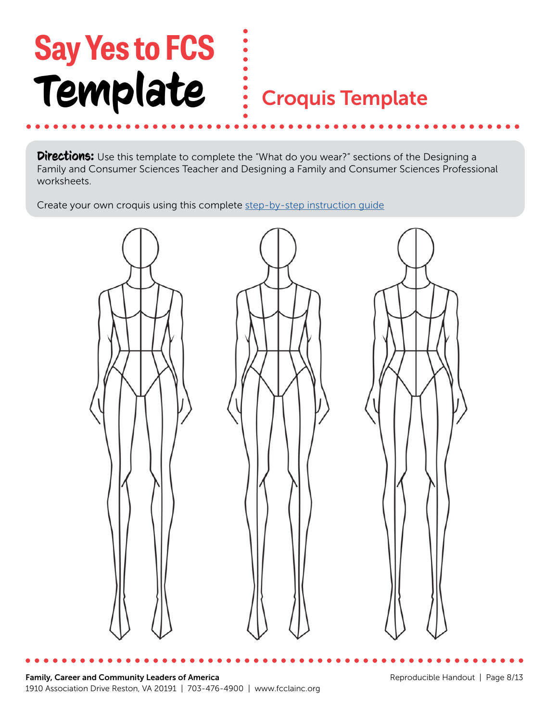# **Say Yes to FCS** Template

### Croquis Template

**Directions:** Use this template to complete the "What do you wear?" sections of the Designing a Family and Consumer Sciences Teacher and Designing a Family and Consumer Sciences Professional worksheets.

Create your own croquis using this complete [step-by-step instruction guide](https://www.amikosimonetti.com/life/drawing-the-fashion-figure-with-9-heads-proportion-part-1)

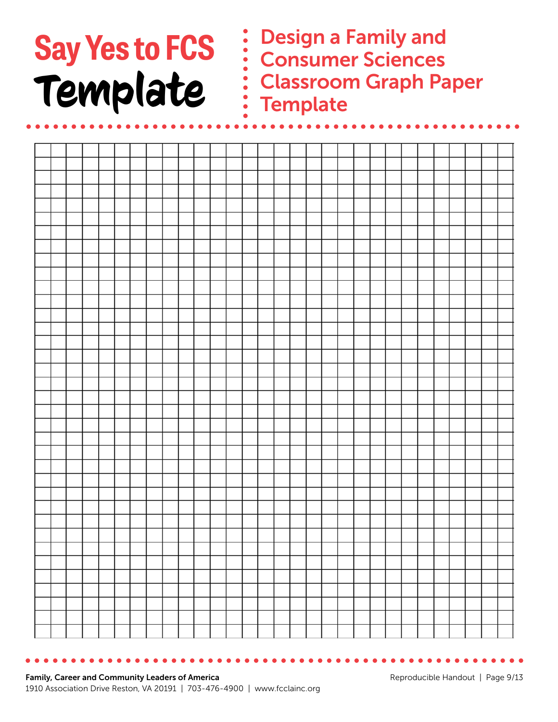# **Say Yes to FCS** Template

Design a Family and Consumer Sciences Classroom Graph Paper **Template** 

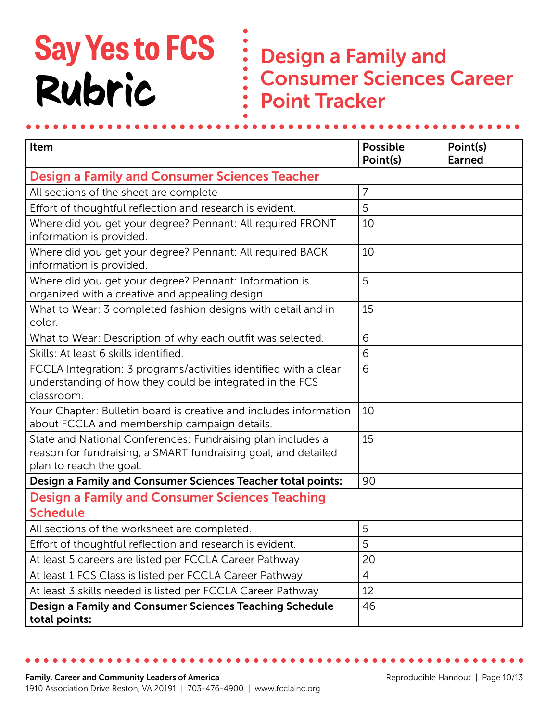## **Say Yes to FCS** Rubric

Design a Family and Consumer Sciences Career Point Tracker

| Item                                                                                                                                                     | <b>Possible</b> | Point(s)<br><b>Earned</b> |  |  |
|----------------------------------------------------------------------------------------------------------------------------------------------------------|-----------------|---------------------------|--|--|
| Point(s)<br><b>Design a Family and Consumer Sciences Teacher</b>                                                                                         |                 |                           |  |  |
| All sections of the sheet are complete                                                                                                                   | $\overline{7}$  |                           |  |  |
| Effort of thoughtful reflection and research is evident.                                                                                                 | 5               |                           |  |  |
| Where did you get your degree? Pennant: All required FRONT<br>information is provided.                                                                   | 10              |                           |  |  |
| Where did you get your degree? Pennant: All required BACK<br>information is provided.                                                                    | 10              |                           |  |  |
| Where did you get your degree? Pennant: Information is<br>organized with a creative and appealing design.                                                | 5               |                           |  |  |
| What to Wear: 3 completed fashion designs with detail and in<br>color.                                                                                   | 15              |                           |  |  |
| What to Wear: Description of why each outfit was selected.                                                                                               | 6               |                           |  |  |
| Skills: At least 6 skills identified.                                                                                                                    | 6               |                           |  |  |
| FCCLA Integration: 3 programs/activities identified with a clear<br>understanding of how they could be integrated in the FCS<br>classroom.               | 6               |                           |  |  |
| Your Chapter: Bulletin board is creative and includes information<br>about FCCLA and membership campaign details.                                        | 10              |                           |  |  |
| State and National Conferences: Fundraising plan includes a<br>reason for fundraising, a SMART fundraising goal, and detailed<br>plan to reach the goal. | 15              |                           |  |  |
| Design a Family and Consumer Sciences Teacher total points:                                                                                              | 90              |                           |  |  |
| <b>Design a Family and Consumer Sciences Teaching</b><br><b>Schedule</b>                                                                                 |                 |                           |  |  |
| All sections of the worksheet are completed.                                                                                                             | 5               |                           |  |  |
| Effort of thoughtful reflection and research is evident.                                                                                                 | 5               |                           |  |  |
| At least 5 careers are listed per FCCLA Career Pathway                                                                                                   | 20              |                           |  |  |
| At least 1 FCS Class is listed per FCCLA Career Pathway                                                                                                  | 4               |                           |  |  |
| At least 3 skills needed is listed per FCCLA Career Pathway                                                                                              | 12              |                           |  |  |
| Design a Family and Consumer Sciences Teaching Schedule<br>total points:                                                                                 | 46              |                           |  |  |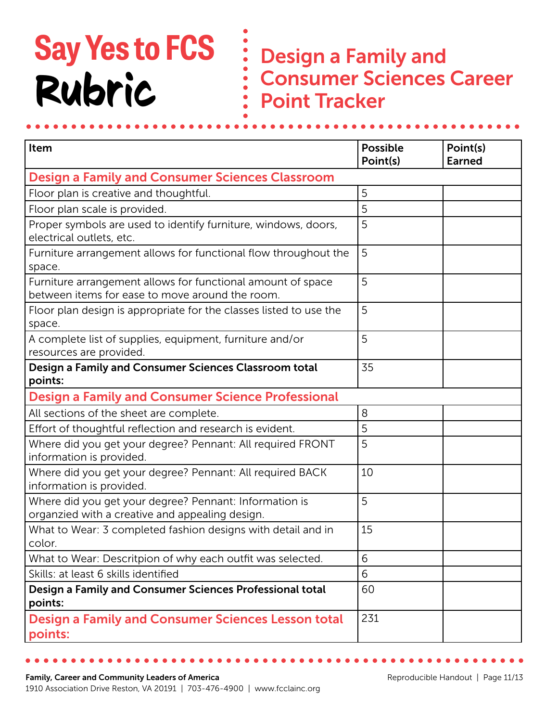## **Say Yes to FCS** Rubric

Design a Family and Consumer Sciences Career Point Tracker

| Item                                                                                                           | <b>Possible</b> | Point(s)      |  |  |
|----------------------------------------------------------------------------------------------------------------|-----------------|---------------|--|--|
|                                                                                                                | Point(s)        | <b>Earned</b> |  |  |
| <b>Design a Family and Consumer Sciences Classroom</b>                                                         |                 |               |  |  |
| Floor plan is creative and thoughtful.                                                                         | 5               |               |  |  |
| Floor plan scale is provided.                                                                                  | 5               |               |  |  |
| Proper symbols are used to identify furniture, windows, doors,<br>electrical outlets, etc.                     | 5               |               |  |  |
| Furniture arrangement allows for functional flow throughout the<br>space.                                      | 5               |               |  |  |
| Furniture arrangement allows for functional amount of space<br>between items for ease to move around the room. | 5               |               |  |  |
| Floor plan design is appropriate for the classes listed to use the<br>space.                                   | 5               |               |  |  |
| A complete list of supplies, equipment, furniture and/or<br>resources are provided.                            | 5               |               |  |  |
| Design a Family and Consumer Sciences Classroom total<br>points:                                               | 35              |               |  |  |
| <b>Design a Family and Consumer Science Professional</b>                                                       |                 |               |  |  |
| All sections of the sheet are complete.                                                                        | 8               |               |  |  |
| Effort of thoughtful reflection and research is evident.                                                       | 5               |               |  |  |
| Where did you get your degree? Pennant: All required FRONT<br>information is provided.                         | 5               |               |  |  |
| Where did you get your degree? Pennant: All required BACK<br>information is provided.                          | 10              |               |  |  |
| Where did you get your degree? Pennant: Information is<br>organzied with a creative and appealing design.      | 5               |               |  |  |
| What to Wear: 3 completed fashion designs with detail and in<br>color.                                         | 15              |               |  |  |
| What to Wear: Descritpion of why each outfit was selected.                                                     | 6               |               |  |  |
| Skills: at least 6 skills identified                                                                           | 6               |               |  |  |
| Design a Family and Consumer Sciences Professional total<br>points:                                            | 60              |               |  |  |
| <b>Design a Family and Consumer Sciences Lesson total</b><br>points:                                           | 231             |               |  |  |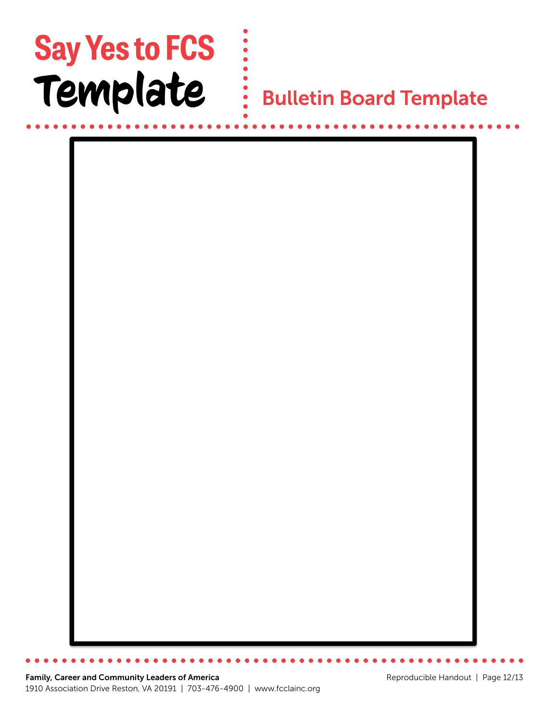## **Say Yes to FCS** Template

 $\begin{array}{c} \frac{1}{2} \\ \vdots \\ \frac{1}{2} \end{array}$  Bulletin Board Template